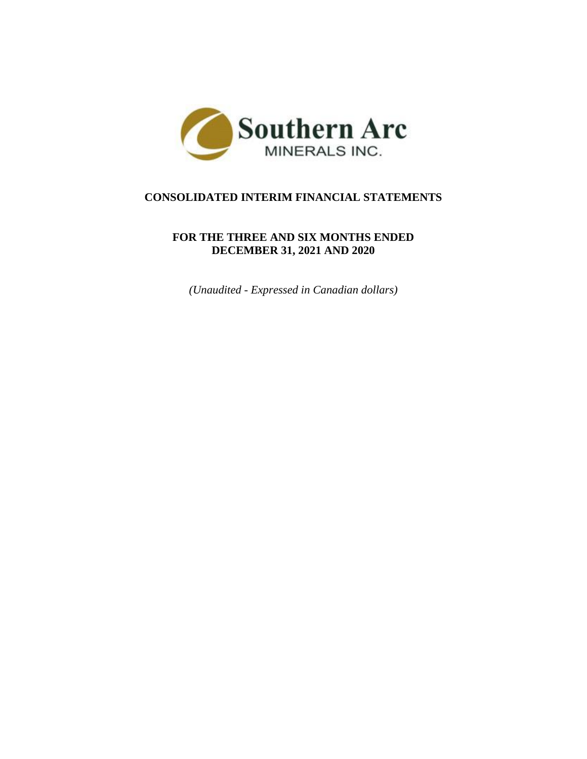

# **CONSOLIDATED INTERIM FINANCIAL STATEMENTS**

## **FOR THE THREE AND SIX MONTHS ENDED DECEMBER 31, 2021 AND 2020**

*(Unaudited - Expressed in Canadian dollars)*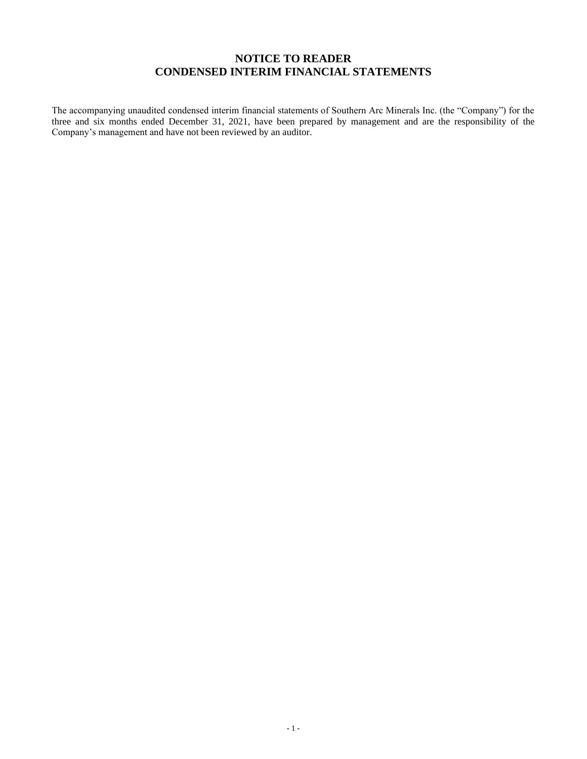## **NOTICE TO READER CONDENSED INTERIM FINANCIAL STATEMENTS**

The accompanying unaudited condensed interim financial statements of Southern Arc Minerals Inc. (the "Company") for the three and six months ended December 31, 2021, have been prepared by management and are the responsibility of the Company's management and have not been reviewed by an auditor.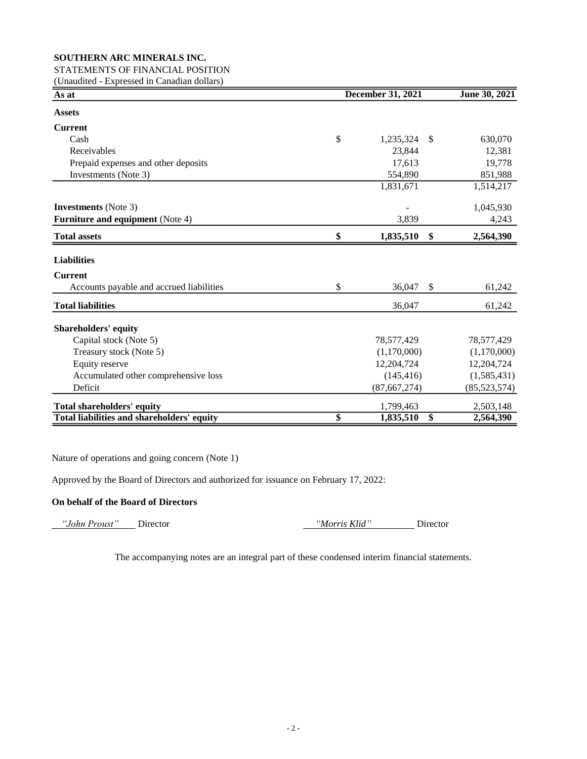## STATEMENTS OF FINANCIAL POSITION

(Unaudited - Expressed in Canadian dollars)

| As at                                      | <b>December 31, 2021</b> |               |                |  |  |
|--------------------------------------------|--------------------------|---------------|----------------|--|--|
| <b>Assets</b>                              |                          |               |                |  |  |
| <b>Current</b>                             |                          |               |                |  |  |
| Cash                                       | \$<br>1,235,324          | <sup>\$</sup> | 630,070        |  |  |
| Receivables                                | 23,844                   |               | 12,381         |  |  |
| Prepaid expenses and other deposits        | 17,613                   |               | 19,778         |  |  |
| Investments (Note 3)                       | 554,890                  |               | 851,988        |  |  |
|                                            | 1,831,671                |               | 1,514,217      |  |  |
| <b>Investments</b> (Note 3)                |                          |               | 1,045,930      |  |  |
| <b>Furniture and equipment</b> (Note 4)    | 3,839                    |               | 4,243          |  |  |
| <b>Total assets</b>                        | \$<br>1,835,510          | \$            | 2,564,390      |  |  |
| <b>Liabilities</b>                         |                          |               |                |  |  |
| <b>Current</b>                             |                          |               |                |  |  |
| Accounts payable and accrued liabilities   | \$<br>36,047             | $\mathcal{S}$ | 61,242         |  |  |
| <b>Total liabilities</b>                   | 36,047                   |               | 61,242         |  |  |
| <b>Shareholders' equity</b>                |                          |               |                |  |  |
| Capital stock (Note 5)                     | 78,577,429               |               | 78,577,429     |  |  |
| Treasury stock (Note 5)                    | (1,170,000)              |               | (1,170,000)    |  |  |
| Equity reserve                             | 12,204,724               |               | 12,204,724     |  |  |
| Accumulated other comprehensive loss       | (145, 416)               |               | (1,585,431)    |  |  |
| Deficit                                    | (87, 667, 274)           |               | (85, 523, 574) |  |  |
| <b>Total shareholders' equity</b>          | 1,799,463                |               | 2,503,148      |  |  |
| Total liabilities and shareholders' equity | \$<br>1,835,510          | \$            | 2,564,390      |  |  |

Nature of operations and going concern (Note 1)

Approved by the Board of Directors and authorized for issuance on February 17, 2022:

## **On behalf of the Board of Directors**

 *"John Proust"* Director *"Morris Klid"* Director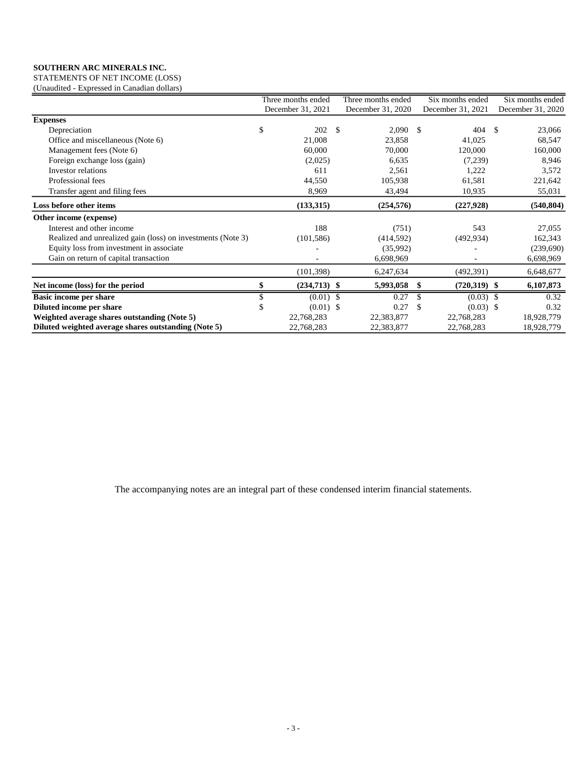STATEMENTS OF NET INCOME (LOSS) (Unaudited - Expressed in Canadian dollars)

|                                                             |    | Three months ended |     | Three months ended |               | Six months ended  |      | Six months ended  |
|-------------------------------------------------------------|----|--------------------|-----|--------------------|---------------|-------------------|------|-------------------|
|                                                             |    | December 31, 2021  |     | December 31, 2020  |               | December 31, 2021 |      | December 31, 2020 |
| <b>Expenses</b>                                             |    |                    |     |                    |               |                   |      |                   |
| Depreciation                                                | \$ | 202                | -\$ | 2,090              | -S            | 404               | - \$ | 23,066            |
| Office and miscellaneous (Note 6)                           |    | 21,008             |     | 23,858             |               | 41,025            |      | 68,547            |
| Management fees (Note 6)                                    |    | 60,000             |     | 70,000             |               | 120,000           |      | 160,000           |
| Foreign exchange loss (gain)                                |    | (2,025)            |     | 6,635              |               | (7,239)           |      | 8,946             |
| Investor relations                                          |    | 611                |     | 2,561              |               | 1,222             |      | 3,572             |
| Professional fees                                           |    | 44,550             |     | 105,938            |               | 61,581            |      | 221,642           |
| Transfer agent and filing fees                              |    | 8,969              |     | 43,494             |               | 10,935            |      | 55,031            |
| Loss before other items                                     |    | (133, 315)         |     | (254, 576)         |               | (227, 928)        |      | (540, 804)        |
| Other income (expense)                                      |    |                    |     |                    |               |                   |      |                   |
| Interest and other income                                   |    | 188                |     | (751)              |               | 543               |      | 27,055            |
| Realized and unrealized gain (loss) on investments (Note 3) |    | (101, 586)         |     | (414, 592)         |               | (492, 934)        |      | 162,343           |
| Equity loss from investment in associate                    |    |                    |     | (35,992)           |               |                   |      | (239,690)         |
| Gain on return of capital transaction                       |    |                    |     | 6,698,969          |               |                   |      | 6,698,969         |
|                                                             |    | (101, 398)         |     | 6,247,634          |               | (492,391)         |      | 6,648,677         |
| Net income (loss) for the period                            |    | $(234,713)$ \$     |     | 5,993,058          | \$            | $(720,319)$ \$    |      | 6,107,873         |
| <b>Basic income per share</b>                               |    | $(0.01)$ \$        |     | 0.27               |               | $(0.03)$ \$       |      | 0.32              |
| Diluted income per share                                    | ъ. | $(0.01)$ \$        |     | 0.27               | $\mathcal{S}$ | $(0.03)$ \$       |      | 0.32              |
| Weighted average shares outstanding (Note 5)                |    | 22,768,283         |     | 22,383,877         |               | 22,768,283        |      | 18,928,779        |
| Diluted weighted average shares outstanding (Note 5)        |    | 22,768,283         |     | 22,383,877         |               | 22,768,283        |      | 18,928,779        |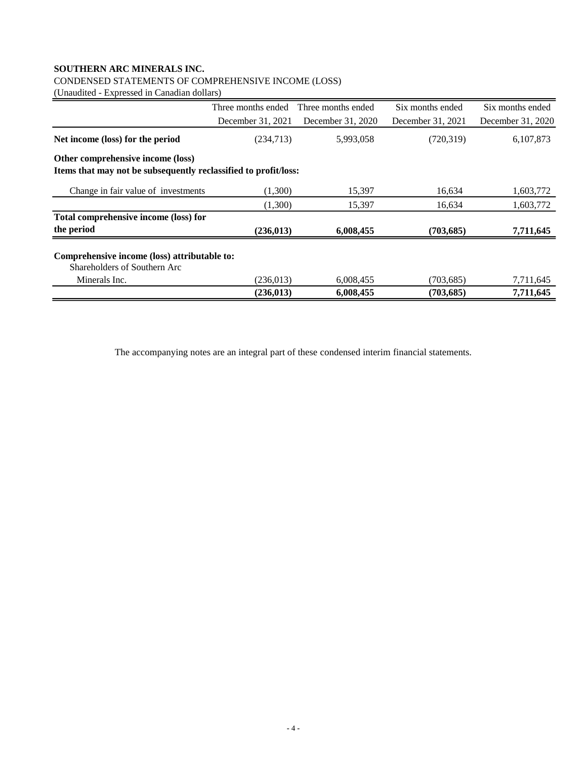## CONDENSED STATEMENTS OF COMPREHENSIVE INCOME (LOSS)

(Unaudited - Expressed in Canadian dollars)

|                                                                              | Three months ended | Three months ended | Six months ended  | Six months ended  |
|------------------------------------------------------------------------------|--------------------|--------------------|-------------------|-------------------|
|                                                                              | December 31, 2021  | December 31, 2020  | December 31, 2021 | December 31, 2020 |
| Net income (loss) for the period                                             | (234,713)          | 5,993,058          | (720, 319)        | 6,107,873         |
| Other comprehensive income (loss)                                            |                    |                    |                   |                   |
| Items that may not be subsequently reclassified to profit/loss:              |                    |                    |                   |                   |
| Change in fair value of investments                                          | (1.300)            | 15,397             | 16,634            | 1,603,772         |
|                                                                              | (1,300)            | 15,397             | 16,634            | 1,603,772         |
| Total comprehensive income (loss) for                                        |                    |                    |                   |                   |
| the period                                                                   | (236, 013)         | 6,008,455          | (703, 685)        | 7,711,645         |
| Comprehensive income (loss) attributable to:<br>Shareholders of Southern Arc |                    |                    |                   |                   |
| Minerals Inc.                                                                | (236, 013)         | 6,008,455          | (703, 685)        | 7,711,645         |
|                                                                              | (236, 013)         | 6,008,455          | (703, 685)        | 7,711,645         |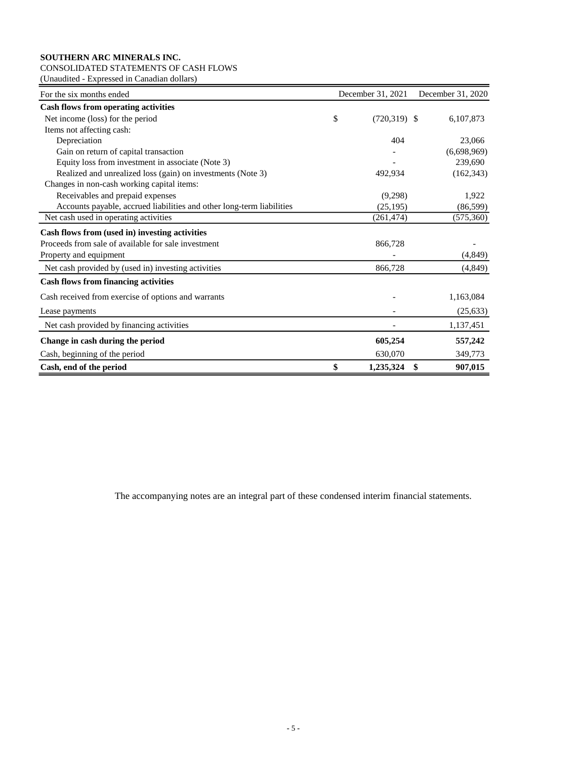## CONSOLIDATED STATEMENTS OF CASH FLOWS

(Unaudited - Expressed in Canadian dollars)

| For the six months ended                                              | December 31, 2021 |                |               |  |
|-----------------------------------------------------------------------|-------------------|----------------|---------------|--|
| <b>Cash flows from operating activities</b>                           |                   |                |               |  |
| Net income (loss) for the period                                      | \$                | $(720,319)$ \$ | 6,107,873     |  |
| Items not affecting cash:                                             |                   |                |               |  |
| Depreciation                                                          |                   | 404            | 23,066        |  |
| Gain on return of capital transaction                                 |                   |                | (6,698,969)   |  |
| Equity loss from investment in associate (Note 3)                     |                   |                | 239,690       |  |
| Realized and unrealized loss (gain) on investments (Note 3)           |                   | 492,934        | (162, 343)    |  |
| Changes in non-cash working capital items:                            |                   |                |               |  |
| Receivables and prepaid expenses                                      |                   | (9,298)        | 1,922         |  |
| Accounts payable, accrued liabilities and other long-term liabilities |                   | (25, 195)      | (86, 599)     |  |
| Net cash used in operating activities                                 |                   | (261, 474)     | (575, 360)    |  |
| Cash flows from (used in) investing activities                        |                   |                |               |  |
| Proceeds from sale of available for sale investment                   |                   | 866,728        |               |  |
| Property and equipment                                                |                   |                | (4,849)       |  |
| Net cash provided by (used in) investing activities                   |                   | 866,728        | (4, 849)      |  |
| <b>Cash flows from financing activities</b>                           |                   |                |               |  |
| Cash received from exercise of options and warrants                   |                   |                | 1,163,084     |  |
| Lease payments                                                        |                   |                | (25, 633)     |  |
| Net cash provided by financing activities                             |                   |                | 1,137,451     |  |
| Change in cash during the period                                      |                   | 605,254        | 557,242       |  |
| Cash, beginning of the period                                         |                   | 630,070        | 349,773       |  |
| Cash, end of the period                                               | \$                | 1,235,324      | \$<br>907,015 |  |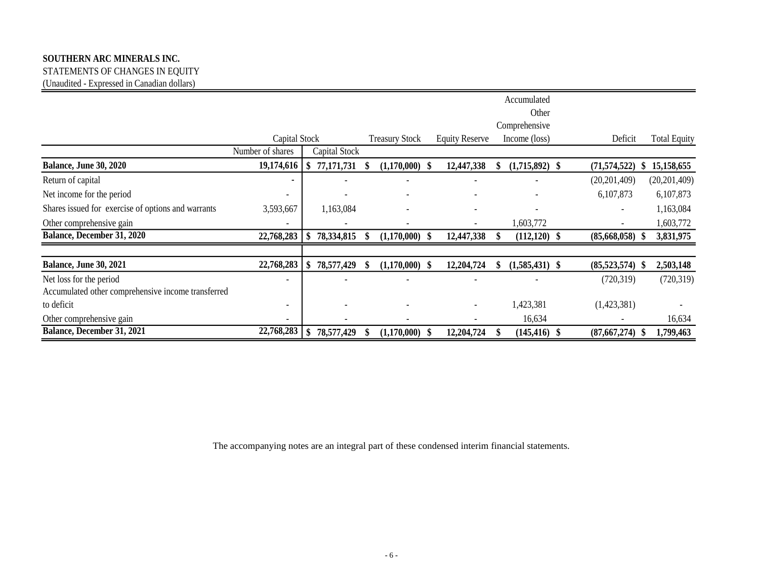STATEMENTS OF CHANGES IN EQUITY (Unaudited - Expressed in Canadian dollars)

|                                                    |                          |               |     |                       |     |                          | Accumulated              |                          |      |                     |
|----------------------------------------------------|--------------------------|---------------|-----|-----------------------|-----|--------------------------|--------------------------|--------------------------|------|---------------------|
|                                                    |                          |               |     |                       |     |                          | Other                    |                          |      |                     |
|                                                    |                          |               |     |                       |     |                          | Comprehensive            |                          |      |                     |
|                                                    | Capital Stock            |               |     | <b>Treasury Stock</b> |     | <b>Equity Reserve</b>    | Income (loss)            | Deficit                  |      | <b>Total Equity</b> |
|                                                    | Number of shares         | Capital Stock |     |                       |     |                          |                          |                          |      |                     |
| <b>Balance, June 30, 2020</b>                      | 19,174,616               | 77,171,731    |     | $(1,170,000)$ \$      |     | 12,447,338               | $(1,715,892)$ \$         | (71, 574, 522)           |      | 15,158,655          |
| Return of capital                                  |                          |               |     |                       |     |                          |                          | (20, 201, 409)           |      | (20, 201, 409)      |
| Net income for the period                          | ٠                        |               |     |                       |     |                          |                          | 6,107,873                |      | 6,107,873           |
| Shares issued for exercise of options and warrants | 3,593,667                | 1,163,084     |     |                       |     |                          | $\overline{\phantom{a}}$ | $\overline{\phantom{a}}$ |      | 1,163,084           |
| Other comprehensive gain                           | $\overline{\phantom{a}}$ |               |     |                       |     | $\overline{\phantom{a}}$ | 1,603,772                | $\overline{\phantom{a}}$ |      | 1,603,772           |
| Balance, December 31, 2020                         | 22,768,283               | 78,334,815    |     | $(1,170,000)$ \$      |     | 12,447,338               | $(112,120)$ \$           | (85,668,058)             |      | 3,831,975           |
|                                                    |                          |               |     |                       |     |                          |                          |                          |      |                     |
| <b>Balance, June 30, 2021</b>                      | 22,768,283               | 78,577,429    | \$. | $(1,170,000)$ \$      |     | 12,204,724               | $(1,585,431)$ \$         | $(85,523,574)$ \$        |      | 2,503,148           |
| Net loss for the period                            | ۰                        |               |     |                       |     |                          |                          | (720, 319)               |      | (720, 319)          |
| Accumulated other comprehensive income transferred |                          |               |     |                       |     |                          |                          |                          |      |                     |
| to deficit                                         | $\overline{\phantom{a}}$ |               |     |                       |     |                          | 1,423,381                | (1,423,381)              |      |                     |
| Other comprehensive gain                           | $\overline{\phantom{a}}$ |               |     |                       |     |                          | 16,634                   |                          |      | 16,634              |
| Balance, December 31, 2021                         | 22,768,283               | 78,577,429    |     | (1,170,000)           | -\$ | 12,204,724               | $(145, 416)$ \$          | (87,667,274)             | - \$ | 1,799,463           |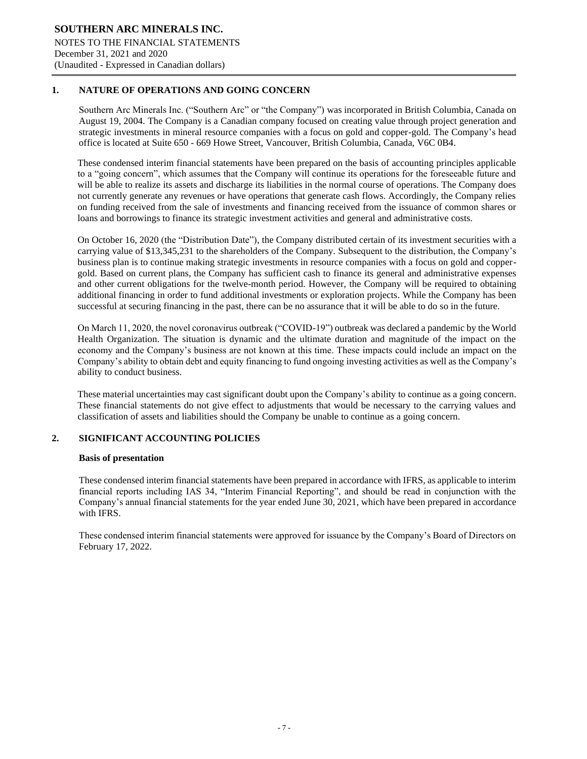## **1. NATURE OF OPERATIONS AND GOING CONCERN**

Southern Arc Minerals Inc. ("Southern Arc" or "the Company") was incorporated in British Columbia, Canada on August 19, 2004. The Company is a Canadian company focused on creating value through project generation and strategic investments in mineral resource companies with a focus on gold and copper-gold. The Company's head office is located at Suite 650 - 669 Howe Street, Vancouver, British Columbia, Canada, V6C 0B4.

֦

These condensed interim financial statements have been prepared on the basis of accounting principles applicable to a "going concern", which assumes that the Company will continue its operations for the foreseeable future and will be able to realize its assets and discharge its liabilities in the normal course of operations. The Company does not currently generate any revenues or have operations that generate cash flows. Accordingly, the Company relies on funding received from the sale of investments and financing received from the issuance of common shares or loans and borrowings to finance its strategic investment activities and general and administrative costs.

On October 16, 2020 (the "Distribution Date"), the Company distributed certain of its investment securities with a carrying value of \$13,345,231 to the shareholders of the Company. Subsequent to the distribution, the Company's business plan is to continue making strategic investments in resource companies with a focus on gold and coppergold. Based on current plans, the Company has sufficient cash to finance its general and administrative expenses and other current obligations for the twelve-month period. However, the Company will be required to obtaining additional financing in order to fund additional investments or exploration projects. While the Company has been successful at securing financing in the past, there can be no assurance that it will be able to do so in the future.

On March 11, 2020, the novel coronavirus outbreak ("COVID-19") outbreak was declared a pandemic by the World Health Organization. The situation is dynamic and the ultimate duration and magnitude of the impact on the economy and the Company's business are not known at this time. These impacts could include an impact on the Company's ability to obtain debt and equity financing to fund ongoing investing activities as well as the Company's ability to conduct business.

These material uncertainties may cast significant doubt upon the Company's ability to continue as a going concern. These financial statements do not give effect to adjustments that would be necessary to the carrying values and classification of assets and liabilities should the Company be unable to continue as a going concern.

## **2. SIGNIFICANT ACCOUNTING POLICIES**

## **Basis of presentation**

These condensed interim financial statements have been prepared in accordance with IFRS, as applicable to interim financial reports including IAS 34, "Interim Financial Reporting", and should be read in conjunction with the Company's annual financial statements for the year ended June 30, 2021, which have been prepared in accordance with IFRS.

These condensed interim financial statements were approved for issuance by the Company's Board of Directors on February 17, 2022.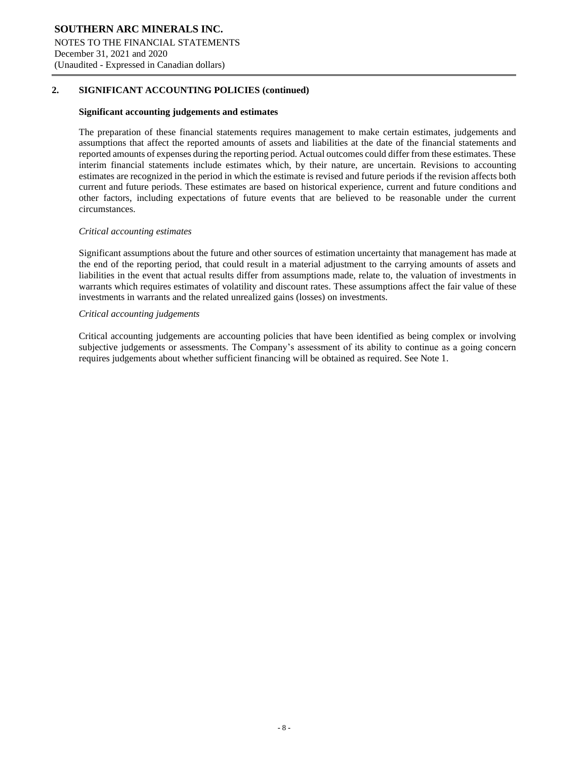## **2. SIGNIFICANT ACCOUNTING POLICIES (continued)**

#### **Significant accounting judgements and estimates**

The preparation of these financial statements requires management to make certain estimates, judgements and assumptions that affect the reported amounts of assets and liabilities at the date of the financial statements and reported amounts of expenses during the reporting period. Actual outcomes could differ from these estimates. These interim financial statements include estimates which, by their nature, are uncertain. Revisions to accounting estimates are recognized in the period in which the estimate is revised and future periods if the revision affects both current and future periods. These estimates are based on historical experience, current and future conditions and other factors, including expectations of future events that are believed to be reasonable under the current circumstances.

֦

#### *Critical accounting estimates*

Significant assumptions about the future and other sources of estimation uncertainty that management has made at the end of the reporting period, that could result in a material adjustment to the carrying amounts of assets and liabilities in the event that actual results differ from assumptions made, relate to, the valuation of investments in warrants which requires estimates of volatility and discount rates. These assumptions affect the fair value of these investments in warrants and the related unrealized gains (losses) on investments.

#### *Critical accounting judgements*

Critical accounting judgements are accounting policies that have been identified as being complex or involving subjective judgements or assessments. The Company's assessment of its ability to continue as a going concern requires judgements about whether sufficient financing will be obtained as required. See Note 1.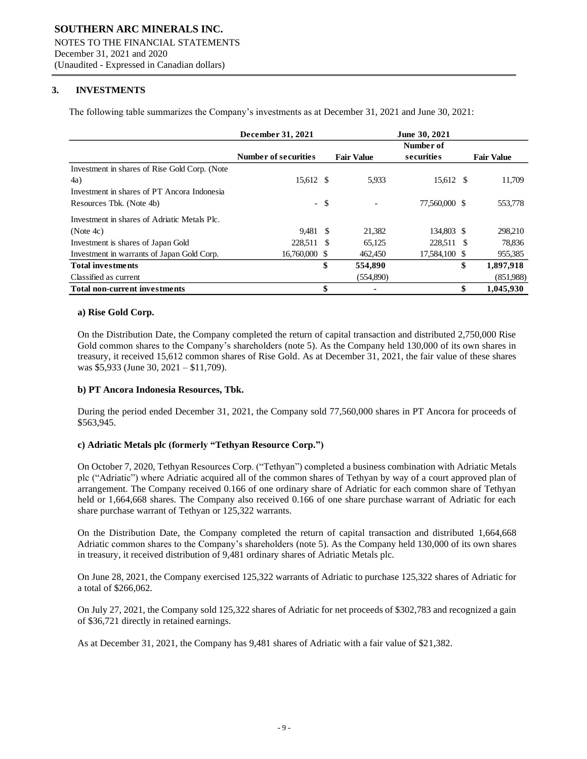## **3. INVESTMENTS**

The following table summarizes the Company's investments as at December 31, 2021 and June 30, 2021:

|                                               | December 31, 2021           |        |                   | June 30, 2021 |                   |
|-----------------------------------------------|-----------------------------|--------|-------------------|---------------|-------------------|
|                                               |                             |        |                   | Number of     |                   |
|                                               | <b>Number of securities</b> |        | <b>Fair Value</b> | securities    | <b>Fair Value</b> |
| Investment in shares of Rise Gold Corp. (Note |                             |        |                   |               |                   |
| 4a)                                           | 15,612 \$                   |        | 5.933             | 15,612 \$     | 11,709            |
| Investment in shares of PT Ancora Indonesia   |                             |        |                   |               |                   |
| Resources Tbk. (Note 4b)                      |                             | $-$ \$ |                   | 77,560,000 \$ | 553,778           |
| Investment in shares of Adriatic Metals Plc.  |                             |        |                   |               |                   |
| (Note 4c)                                     | 9.481 \$                    |        | 21,382            | 134,803 \$    | 298,210           |
| Investment is shares of Japan Gold            | 228,511 \$                  |        | 65,125            | 228,511 \$    | 78,836            |
| Investment in warrants of Japan Gold Corp.    | 16.760,000 \$               |        | 462,450           | 17.584,100 \$ | 955,385           |
| <b>Total investments</b>                      |                             | \$     | 554,890           |               | \$<br>1,897,918   |
| Classified as current                         |                             |        | (554,890)         |               | (851,988)         |
| <b>Total non-current investments</b>          |                             | \$     |                   |               | \$<br>1.045.930   |

֦

#### **a) Rise Gold Corp.**

On the Distribution Date, the Company completed the return of capital transaction and distributed 2,750,000 Rise Gold common shares to the Company's shareholders (note 5). As the Company held 130,000 of its own shares in treasury, it received 15,612 common shares of Rise Gold. As at December 31, 2021, the fair value of these shares was \$5,933 (June 30, 2021 – \$11,709).

## **b) PT Ancora Indonesia Resources, Tbk.**

During the period ended December 31, 2021, the Company sold 77,560,000 shares in PT Ancora for proceeds of \$563,945.

## **c) Adriatic Metals plc (formerly "Tethyan Resource Corp.")**

On October 7, 2020, Tethyan Resources Corp. ("Tethyan") completed a business combination with Adriatic Metals plc ("Adriatic") where Adriatic acquired all of the common shares of Tethyan by way of a court approved plan of arrangement. The Company received 0.166 of one ordinary share of Adriatic for each common share of Tethyan held or 1,664,668 shares. The Company also received 0.166 of one share purchase warrant of Adriatic for each share purchase warrant of Tethyan or 125,322 warrants.

On the Distribution Date, the Company completed the return of capital transaction and distributed 1,664,668 Adriatic common shares to the Company's shareholders (note 5). As the Company held 130,000 of its own shares in treasury, it received distribution of 9,481 ordinary shares of Adriatic Metals plc.

On June 28, 2021, the Company exercised 125,322 warrants of Adriatic to purchase 125,322 shares of Adriatic for a total of \$266,062.

On July 27, 2021, the Company sold 125,322 shares of Adriatic for net proceeds of \$302,783 and recognized a gain of \$36,721 directly in retained earnings.

As at December 31, 2021, the Company has 9,481 shares of Adriatic with a fair value of \$21,382.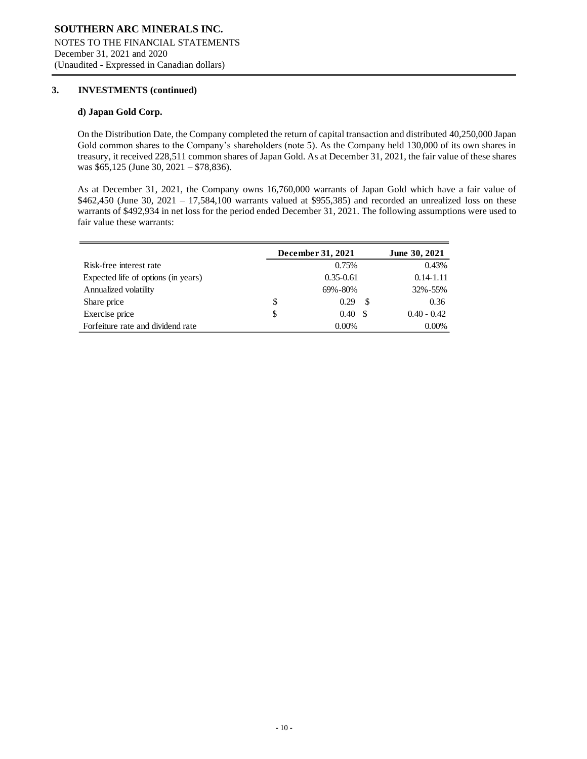## **3. INVESTMENTS (continued)**

#### **d) Japan Gold Corp.**

On the Distribution Date, the Company completed the return of capital transaction and distributed 40,250,000 Japan Gold common shares to the Company's shareholders (note 5). As the Company held 130,000 of its own shares in treasury, it received 228,511 common shares of Japan Gold. As at December 31, 2021, the fair value of these shares was \$65,125 (June 30, 2021 – \$78,836).

֦

As at December 31, 2021, the Company owns 16,760,000 warrants of Japan Gold which have a fair value of \$462,450 (June 30, 2021 – 17,584,100 warrants valued at \$955,385) and recorded an unrealized loss on these warrants of \$492,934 in net loss for the period ended December 31, 2021. The following assumptions were used to fair value these warrants:

|                                     | December 31, 2021 | June 30, 2021 |               |               |
|-------------------------------------|-------------------|---------------|---------------|---------------|
| Risk-free interest rate             |                   | 0.75%         |               | 0.43%         |
| Expected life of options (in years) |                   | $0.35 - 0.61$ |               | $0.14 - 1.11$ |
| Annualized volatility               |                   | 69%-80%       |               | 32%-55%       |
| Share price                         | \$                | 0.29          | <sup>\$</sup> | 0.36          |
| Exercise price                      | \$                | 0.40          |               | $0.40 - 0.42$ |
| Forfeiture rate and dividend rate   |                   | $0.00\%$      |               | $0.00\%$      |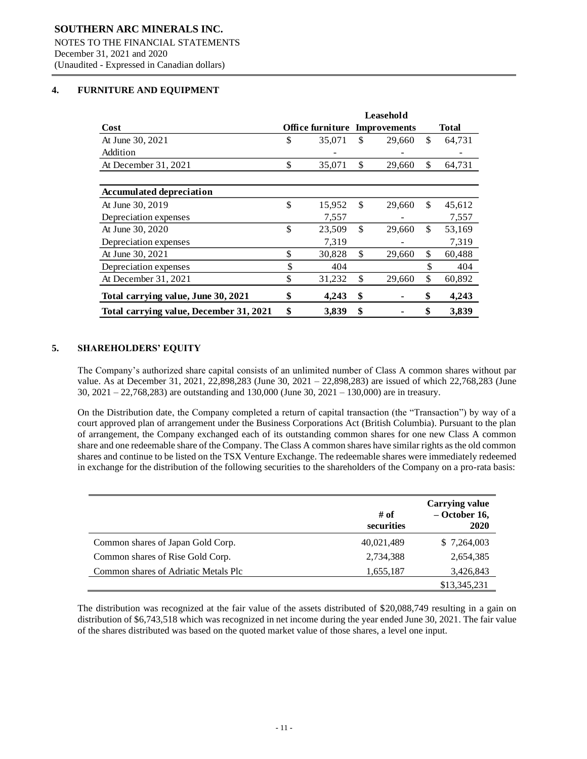## **4. FURNITURE AND EQUIPMENT**

|                                         | Leasehold |                  |     |                     |    |              |  |
|-----------------------------------------|-----------|------------------|-----|---------------------|----|--------------|--|
| Cost                                    |           | Office furniture |     | <b>Improvements</b> |    | <b>Total</b> |  |
| At June 30, 2021                        | \$        | 35,071           | \$  | 29,660              | \$ | 64,731       |  |
| Addition                                |           |                  |     |                     |    |              |  |
| At December 31, 2021                    | \$        | 35,071           | \$  | 29,660              | \$ | 64,731       |  |
|                                         |           |                  |     |                     |    |              |  |
| <b>Accumulated depreciation</b>         |           |                  |     |                     |    |              |  |
| At June 30, 2019                        | \$        | 15,952           | \$. | 29,660              | \$ | 45,612       |  |
| Depreciation expenses                   |           | 7,557            |     |                     |    | 7,557        |  |
| At June 30, 2020                        | \$        | 23,509           | \$  | 29,660              | \$ | 53,169       |  |
| Depreciation expenses                   |           | 7,319            |     |                     |    | 7,319        |  |
| At June 30, 2021                        | \$        | 30,828           | \$  | 29,660              | \$ | 60,488       |  |
| Depreciation expenses                   | \$        | 404              |     |                     | \$ | 404          |  |
| At December 31, 2021                    | \$        | 31,232           | \$  | 29,660              | \$ | 60,892       |  |
| Total carrying value, June 30, 2021     | \$        | 4,243            | \$  |                     | \$ | 4,243        |  |
| Total carrying value, December 31, 2021 | \$        | 3,839            | \$  |                     | \$ | 3,839        |  |

֦

## **5. SHAREHOLDERS' EQUITY**

The Company's authorized share capital consists of an unlimited number of Class A common shares without par value. As at December 31, 2021, 22,898,283 (June 30, 2021 – 22,898,283) are issued of which 22,768,283 (June 30, 2021 – 22,768,283) are outstanding and 130,000 (June 30, 2021 – 130,000) are in treasury.

On the Distribution date, the Company completed a return of capital transaction (the "Transaction") by way of a court approved plan of arrangement under the Business Corporations Act (British Columbia). Pursuant to the plan of arrangement, the Company exchanged each of its outstanding common shares for one new Class A common share and one redeemable share of the Company. The Class A common shares have similar rights as the old common shares and continue to be listed on the TSX Venture Exchange. The redeemable shares were immediately redeemed in exchange for the distribution of the following securities to the shareholders of the Company on a pro-rata basis:

|                                      | # of<br>securities | <b>Carrying value</b><br>$-$ October 16,<br>2020 |
|--------------------------------------|--------------------|--------------------------------------------------|
| Common shares of Japan Gold Corp.    | 40,021,489         | \$7,264,003                                      |
| Common shares of Rise Gold Corp.     | 2,734,388          | 2,654,385                                        |
| Common shares of Adriatic Metals Plc | 1,655,187          | 3,426,843                                        |
|                                      |                    | \$13,345,231                                     |

The distribution was recognized at the fair value of the assets distributed of \$20,088,749 resulting in a gain on distribution of \$6,743,518 which was recognized in net income during the year ended June 30, 2021. The fair value of the shares distributed was based on the quoted market value of those shares, a level one input.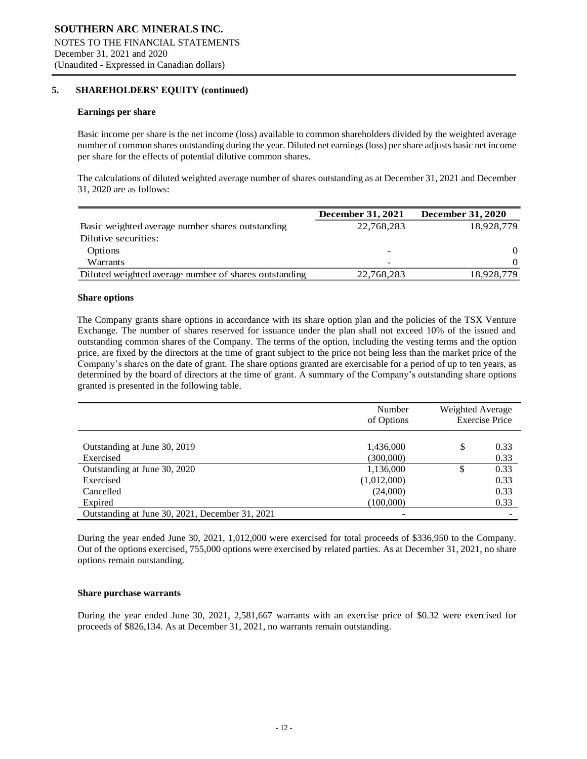## **5. SHAREHOLDERS' EQUITY (continued)**

#### **Earnings per share**

Basic income per share is the net income (loss) available to common shareholders divided by the weighted average number of common shares outstanding during the year. Diluted net earnings (loss) per share adjusts basic net income per share for the effects of potential dilutive common shares.

֦

The calculations of diluted weighted average number of shares outstanding as at December 31, 2021 and December 31, 2020 are as follows:

|                                                       | <b>December 31, 2021</b> | <b>December 31, 2020</b> |
|-------------------------------------------------------|--------------------------|--------------------------|
| Basic weighted average number shares outstanding      | 22,768,283               | 18,928,779               |
| Dilutive securities:                                  |                          |                          |
| <b>Options</b>                                        |                          | $\Omega$                 |
| Warrants                                              | -                        | $\Omega$                 |
| Diluted weighted average number of shares outstanding | 22,768,283               | 18,928,779               |

#### **Share options**

The Company grants share options in accordance with its share option plan and the policies of the TSX Venture Exchange. The number of shares reserved for issuance under the plan shall not exceed 10% of the issued and outstanding common shares of the Company. The terms of the option, including the vesting terms and the option price, are fixed by the directors at the time of grant subject to the price not being less than the market price of the Company's shares on the date of grant. The share options granted are exercisable for a period of up to ten years, as determined by the board of directors at the time of grant. A summary of the Company's outstanding share options granted is presented in the following table.

|                                                 | Number<br>of Options | Weighted Average | <b>Exercise Price</b> |
|-------------------------------------------------|----------------------|------------------|-----------------------|
| Outstanding at June 30, 2019                    | 1,436,000            | S                | 0.33                  |
| Exercised                                       | (300,000)            |                  | 0.33                  |
| Outstanding at June 30, 2020                    | 1,136,000            | \$               | 0.33                  |
| Exercised                                       | (1,012,000)          |                  | 0.33                  |
| Cancelled                                       | (24,000)             |                  | 0.33                  |
| Expired                                         | (100,000)            |                  | 0.33                  |
| Outstanding at June 30, 2021, December 31, 2021 |                      |                  |                       |

During the year ended June 30, 2021, 1,012,000 were exercised for total proceeds of \$336,950 to the Company. Out of the options exercised, 755,000 options were exercised by related parties. As at December 31, 2021, no share options remain outstanding.

#### **Share purchase warrants**

During the year ended June 30, 2021, 2,581,667 warrants with an exercise price of \$0.32 were exercised for proceeds of \$826,134. As at December 31, 2021, no warrants remain outstanding.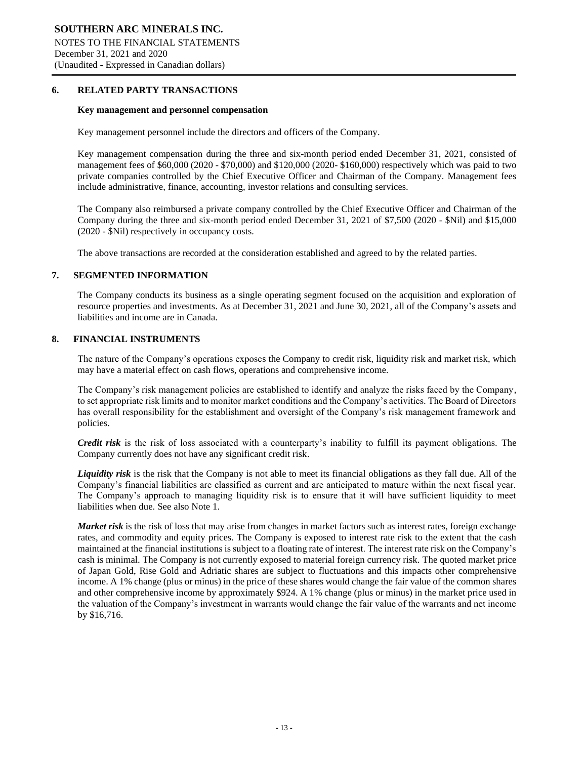#### **6. RELATED PARTY TRANSACTIONS**

#### **Key management and personnel compensation**

Key management personnel include the directors and officers of the Company.

Key management compensation during the three and six-month period ended December 31, 2021, consisted of management fees of \$60,000 (2020 - \$70,000) and \$120,000 (2020- \$160,000) respectively which was paid to two private companies controlled by the Chief Executive Officer and Chairman of the Company. Management fees include administrative, finance, accounting, investor relations and consulting services.

֦

The Company also reimbursed a private company controlled by the Chief Executive Officer and Chairman of the Company during the three and six-month period ended December 31, 2021 of \$7,500 (2020 - \$Nil) and \$15,000 (2020 - \$Nil) respectively in occupancy costs.

The above transactions are recorded at the consideration established and agreed to by the related parties.

## **7. SEGMENTED INFORMATION**

The Company conducts its business as a single operating segment focused on the acquisition and exploration of resource properties and investments. As at December 31, 2021 and June 30, 2021, all of the Company's assets and liabilities and income are in Canada.

## **8. FINANCIAL INSTRUMENTS**

The nature of the Company's operations exposes the Company to credit risk, liquidity risk and market risk, which may have a material effect on cash flows, operations and comprehensive income.

The Company's risk management policies are established to identify and analyze the risks faced by the Company, to set appropriate risk limits and to monitor market conditions and the Company's activities. The Board of Directors has overall responsibility for the establishment and oversight of the Company's risk management framework and policies.

*Credit risk* is the risk of loss associated with a counterparty's inability to fulfill its payment obligations. The Company currently does not have any significant credit risk.

*Liquidity risk* is the risk that the Company is not able to meet its financial obligations as they fall due. All of the Company's financial liabilities are classified as current and are anticipated to mature within the next fiscal year. The Company's approach to managing liquidity risk is to ensure that it will have sufficient liquidity to meet liabilities when due. See also Note 1.

*Market risk* is the risk of loss that may arise from changes in market factors such as interest rates, foreign exchange rates, and commodity and equity prices. The Company is exposed to interest rate risk to the extent that the cash maintained at the financial institutions is subject to a floating rate of interest. The interest rate risk on the Company's cash is minimal. The Company is not currently exposed to material foreign currency risk. The quoted market price of Japan Gold, Rise Gold and Adriatic shares are subject to fluctuations and this impacts other comprehensive income. A 1% change (plus or minus) in the price of these shares would change the fair value of the common shares and other comprehensive income by approximately \$924. A 1% change (plus or minus) in the market price used in the valuation of the Company's investment in warrants would change the fair value of the warrants and net income by \$16,716.